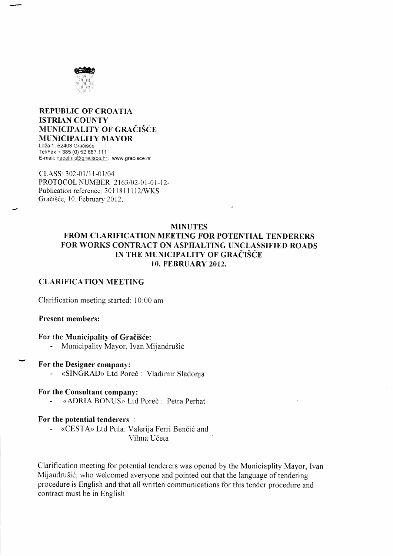

#### **REPUBLIC OF CROATIA ISTRIAN COUNTY** MUNICIPALITY OF GRAČIŠĆE **MUNICIPALITY MAYOR** Loža 1, 52403 Gračišće Tel/Fax + 385 (0) 52 687 111 E-mail: nacelnik@gracisce.hr; www.gracisce.hr

CLASS: 302-01/11-01/04 PROTOCOL NUMBER: 2163/02-01-01-12-Publication reference: 3011811112/WKS Gračišće, 10. February 2012.

#### **MINUTES** FROM CLARIFICATION MEETING FOR POTENTIAL TENDERERS FOR WORKS CONTRACT ON ASPHALTING UNCLASSIFIED ROADS IN THE MUNICIPALITY OF GRAČIŠĆE **10. FEBRUARY 2012.**

#### **CLARIFICATION MEETING**

Clarification meeting started: 10:00 am

#### **Present members:**

#### For the Municipality of Gračišće:

Municipality Mayor, Ivan Mijandrušić

#### For the Designer company:

«SINGRAD» Ltd Poreč : Vladimir Sladonja

#### For the Consultant company:

«ADRIA BONUS» Ltd Poreč : Petra Perhat

#### For the potential tenderers :

 $\omega_{\rm{eff}}$ «CESTA» Ltd Pula: Valerija Ferri Benčić and Vilma Učeta

Clarification meeting for potential tenderers was opened by the Municiaplity Mayor, Ivan Mijandrušić, who welcomed averyone and pointed out that the language of tendering procedure is English and that all written communications for this tender procedure and contract must be in English.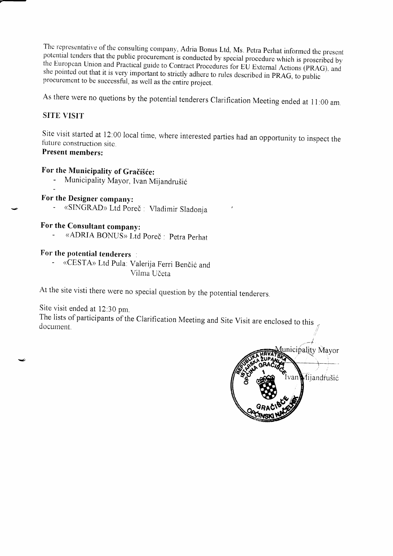The representative of the consulting company, Adria Bonus Ltd, Ms. Petra Perhat informed the present potential tenders that the public procurement is conducted by special procedure which is proscribed by the European Union

As there were no quetions by the potential tenderers Clarification Meeting ended at 11:00 am

#### SITE VISIT

Site v<br><sup>G</sup>rtene Site visit started at 12:00 local time, where interested parties had an opportunity to inspect the future construction site. Present members:

### For the Municipality of Gračišće:

- Municipality Mayor, Ivan Mijandrušić

#### For the Designer company:

«SINGRAD» Ltd Poreč : Vladimir Sladonja

For the Consultant company:<br>- «ADRIA BONUS» Ltd Poreč : Petra Perhat

#### For the potential tenderers

«CESTA» Ltd Pula: Valerija Ferri Benčić and Vilma Učeta

At the site visti there were no special question by the potential tenderers.

Site visit ended at 12:30 pm.

The lists of participants of the Clarification Meeting and Site Visit are enclosed to this document.

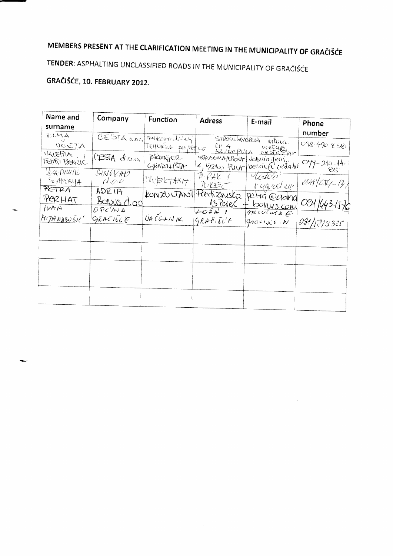# MEMBERS PRESENT AT THE CLARIFICATION MEETING IN THE MUNICIPALITY OF GRAČIŠĆE

### TENDER: ASPHALTING UNCLASSIFIED ROADS IN THE MUNICIPALITY OF GRAČIŠĆE

### GRAČIŠĆE, 10. FEBRUARY 2012.

| Name and                                 | Company                   | <b>Function</b>            | Adress                             | E-mail                                                  | Phone            |
|------------------------------------------|---------------------------|----------------------------|------------------------------------|---------------------------------------------------------|------------------|
| surname<br>VILMA                         |                           |                            |                                    |                                                         | number           |
| VCETA                                    |                           | CESTA door mukogoritikasi  | STROSSMAYERONA                     | mluice,                                                 | 098.490.858,     |
| VALERIA,<br>FETTRI BENCIC                | CESTA do.o.               | GRABILISTA                 | 4,52400 FULA                       | TEHNICKE priprene le 4 republication<br>bencick cestahl | $099 - 210 - 14$ |
| $U_1$ 4 $D_1$ $U_1$ $U_2$<br>56.400x(14) | SINELH12<br>d.e.e.        | $ $ <sup>PI</sup> QEE+AX17 | PPAV<br>ルレモー                       | todoo<br>signed the                                     | $098/251-12$     |
| PETRA<br>PERHAT                          | ADZ<br>$B_0$ Nus $C_1$ od |                            | KONZULTANT PEECH Zauska            | Petra @adrid<br>13 Porec + bonus com                    |                  |
| IVAN<br>$M$ 1714 ADRUSIC'                | OPC/NA<br>GRAETICE        | $A + C C + A + C$          | $L_0$ $\tilde{z}$ A 1<br>GRAETSC'F | meculare @<br>graciace N                                | 081 143-1576     |
|                                          |                           |                            |                                    |                                                         |                  |
|                                          |                           |                            |                                    |                                                         |                  |
|                                          |                           |                            |                                    |                                                         |                  |
|                                          |                           |                            |                                    |                                                         |                  |
|                                          |                           |                            |                                    |                                                         |                  |